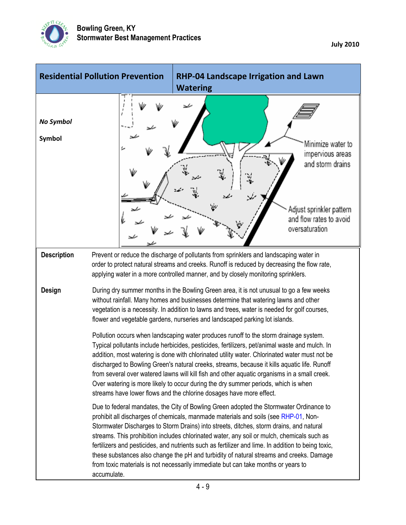